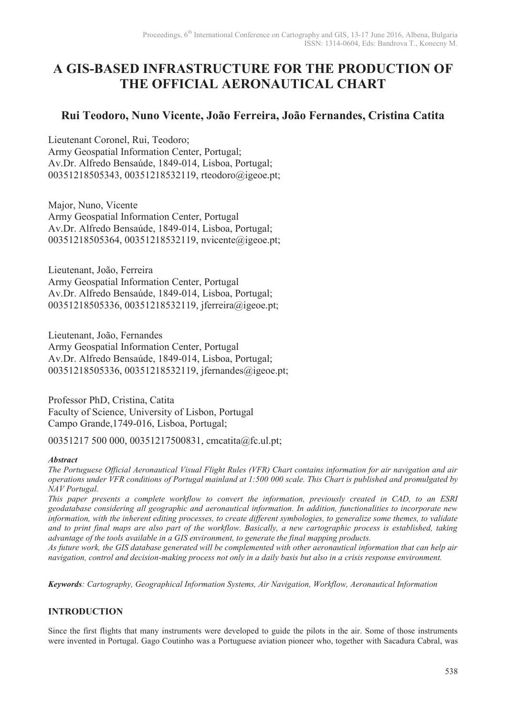# **A GIS-BASED INFRASTRUCTURE FOR THE PRODUCTION OF THE OFFICIAL AERONAUTICAL CHART**

# **Rui Teodoro, Nuno Vicente, João Ferreira, João Fernandes, Cristina Catita**

Lieutenant Coronel, Rui, Teodoro; Army Geospatial Information Center, Portugal; Av.Dr. Alfredo Bensaúde, 1849-014, Lisboa, Portugal; 00351218505343, 00351218532119, rteodoro@igeoe.pt;

Major, Nuno, Vicente Army Geospatial Information Center, Portugal Av.Dr. Alfredo Bensaúde, 1849-014, Lisboa, Portugal; 00351218505364, 00351218532119, nvicente@igeoe.pt;

Lieutenant, João, Ferreira Army Geospatial Information Center, Portugal Av.Dr. Alfredo Bensaúde, 1849-014, Lisboa, Portugal; 00351218505336, 00351218532119, jferreira@igeoe.pt;

Lieutenant, João, Fernandes Army Geospatial Information Center, Portugal Av.Dr. Alfredo Bensaúde, 1849-014, Lisboa, Portugal; 00351218505336, 00351218532119, jfernandes@igeoe.pt;

Professor PhD, Cristina, Catita Faculty of Science, University of Lisbon, Portugal Campo Grande,1749-016, Lisboa, Portugal;

00351217 500 000, 00351217500831, cmcatita@fc.ul.pt;

#### *Abstract*

*The Portuguese Official Aeronautical Visual Flight Rules (VFR) Chart contains information for air navigation and air operations under VFR conditions of Portugal mainland at 1:500 000 scale. This Chart is published and promulgated by NAV Portugal.* 

*This paper presents a complete workflow to convert the information, previously created in CAD, to an ESRI geodatabase considering all geographic and aeronautical information. In addition, functionalities to incorporate new information, with the inherent editing processes, to create different symbologies, to generalize some themes, to validate and to print final maps are also part of the workflow. Basically, a new cartographic process is established, taking advantage of the tools available in a GIS environment, to generate the final mapping products.* 

*As future work, the GIS database generated will be complemented with other aeronautical information that can help air navigation, control and decision-making process not only in a daily basis but also in a crisis response environment.* 

*Keywords: Cartography, Geographical Information Systems, Air Navigation, Workflow, Aeronautical Information* 

# **INTRODUCTION**

Since the first flights that many instruments were developed to guide the pilots in the air. Some of those instruments were invented in Portugal. Gago Coutinho was a Portuguese aviation pioneer who, together with Sacadura Cabral, was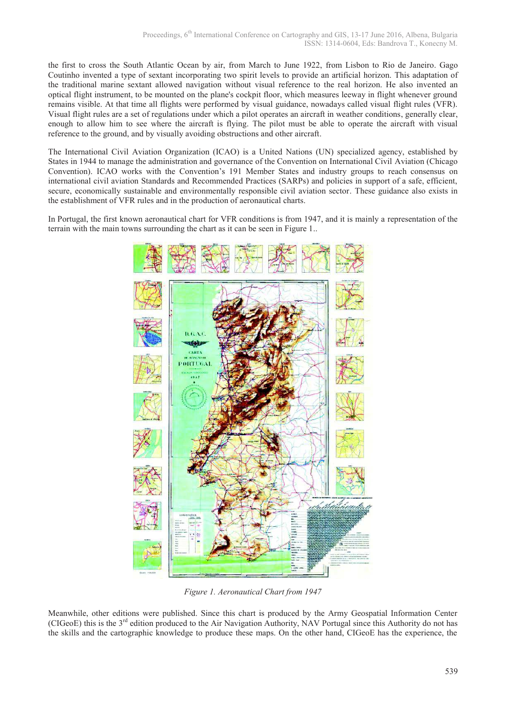the first to cross the South Atlantic Ocean by air, from March to June 1922, from Lisbon to Rio de Janeiro. Gago Coutinho invented a type of sextant incorporating two spirit levels to provide an artificial horizon. This adaptation of the traditional marine sextant allowed navigation without visual reference to the real horizon. He also invented an optical flight instrument, to be mounted on the plane's cockpit floor, which measures leeway in flight whenever ground remains visible. At that time all flights were performed by visual guidance, nowadays called visual flight rules (VFR). Visual flight rules are a set of regulations under which a pilot operates an aircraft in weather conditions, generally clear, enough to allow him to see where the aircraft is flying. The pilot must be able to operate the aircraft with visual reference to the ground, and by visually avoiding obstructions and other aircraft.

The International Civil Aviation Organization (ICAO) is a United Nations (UN) specialized agency, established by States in 1944 to manage the administration and governance of the Convention on International Civil Aviation (Chicago Convention). ICAO works with the Convention's 191 Member States and industry groups to reach consensus on international civil aviation Standards and Recommended Practices (SARPs) and policies in support of a safe, efficient, secure, economically sustainable and environmentally responsible civil aviation sector. These guidance also exists in the establishment of VFR rules and in the production of aeronautical charts.

In Portugal, the first known aeronautical chart for VFR conditions is from 1947, and it is mainly a representation of the terrain with the main towns surrounding the chart as it can be seen in Figure 1..



*Figure 1. Aeronautical Chart from 1947* 

Meanwhile, other editions were published. Since this chart is produced by the Army Geospatial Information Center (CIGeoE) this is the  $3<sup>rd</sup>$  edition produced to the Air Navigation Authority, NAV Portugal since this Authority do not has the skills and the cartographic knowledge to produce these maps. On the other hand, CIGeoE has the experience, the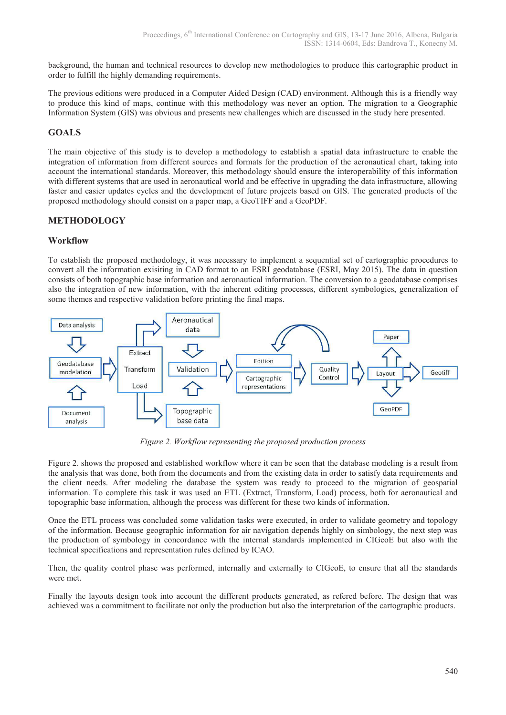background, the human and technical resources to develop new methodologies to produce this cartographic product in order to fulfill the highly demanding requirements.

The previous editions were produced in a Computer Aided Design (CAD) environment. Although this is a friendly way to produce this kind of maps, continue with this methodology was never an option. The migration to a Geographic Information System (GIS) was obvious and presents new challenges which are discussed in the study here presented.

# **GOALS**

The main objective of this study is to develop a methodology to establish a spatial data infrastructure to enable the integration of information from different sources and formats for the production of the aeronautical chart, taking into account the international standards. Moreover, this methodology should ensure the interoperability of this information with different systems that are used in aeronautical world and be effective in upgrading the data infrastructure, allowing faster and easier updates cycles and the development of future projects based on GIS. The generated products of the proposed methodology should consist on a paper map, a GeoTIFF and a GeoPDF.

# **METHODOLOGY**

#### **Workflow**

To establish the proposed methodology, it was necessary to implement a sequential set of cartographic procedures to convert all the information exisiting in CAD format to an ESRI geodatabase (ESRI, May 2015). The data in question consists of both topographic base information and aeronautical information. The conversion to a geodatabase comprises also the integration of new information, with the inherent editing processes, different symbologies, generalization of some themes and respective validation before printing the final maps.



*Figure 2. Workflow representing the proposed production process* 

Figure 2. shows the proposed and established workflow where it can be seen that the database modeling is a result from the analysis that was done, both from the documents and from the existing data in order to satisfy data requirements and the client needs. After modeling the database the system was ready to proceed to the migration of geospatial information. To complete this task it was used an ETL (Extract, Transform, Load) process, both for aeronautical and topographic base information, although the process was different for these two kinds of information.

Once the ETL process was concluded some validation tasks were executed, in order to validate geometry and topology of the information. Because geographic information for air navigation depends highly on simbology, the next step was the production of symbology in concordance with the internal standards implemented in CIGeoE but also with the technical specifications and representation rules defined by ICAO.

Then, the quality control phase was performed, internally and externally to CIGeoE, to ensure that all the standards were met.

Finally the layouts design took into account the different products generated, as refered before. The design that was achieved was a commitment to facilitate not only the production but also the interpretation of the cartographic products.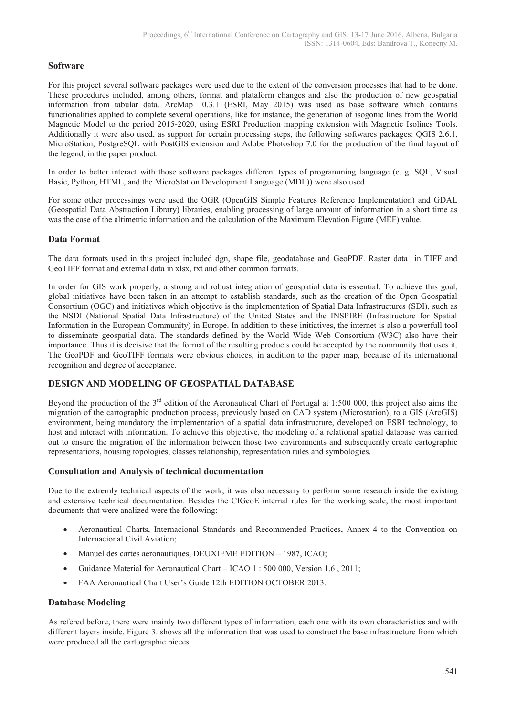#### **Software**

For this project several software packages were used due to the extent of the conversion processes that had to be done. These procedures included, among others, format and plataform changes and also the production of new geospatial information from tabular data. ArcMap 10.3.1 (ESRI, May 2015) was used as base software which contains functionalities applied to complete several operations, like for instance, the generation of isogonic lines from the World Magnetic Model to the period 2015-2020, using ESRI Production mapping extension with Magnetic Isolines Tools. Additionally it were also used, as support for certain processing steps, the following softwares packages: QGIS 2.6.1, MicroStation, PostgreSQL with PostGIS extension and Adobe Photoshop 7.0 for the production of the final layout of the legend, in the paper product.

In order to better interact with those software packages different types of programming language (e. g. SQL, Visual Basic, Python, HTML, and the MicroStation Development Language (MDL)) were also used.

For some other processings were used the OGR (OpenGIS Simple Features Reference Implementation) and GDAL (Geospatial Data Abstraction Library) libraries, enabling processing of large amount of information in a short time as was the case of the altimetric information and the calculation of the Maximum Elevation Figure (MEF) value.

#### **Data Format**

The data formats used in this project included dgn, shape file, geodatabase and GeoPDF. Raster data in TIFF and GeoTIFF format and external data in xlsx, txt and other common formats.

In order for GIS work properly, a strong and robust integration of geospatial data is essential. To achieve this goal, global initiatives have been taken in an attempt to establish standards, such as the creation of the Open Geospatial Consortium (OGC) and initiatives which objective is the implementation of Spatial Data Infrastructures (SDI), such as the NSDI (National Spatial Data Infrastructure) of the United States and the INSPIRE (Infrastructure for Spatial Information in the European Community) in Europe. In addition to these initiatives, the internet is also a powerfull tool to disseminate geospatial data. The standards defined by the World Wide Web Consortium (W3C) also have their importance. Thus it is decisive that the format of the resulting products could be accepted by the community that uses it. The GeoPDF and GeoTIFF formats were obvious choices, in addition to the paper map, because of its international recognition and degree of acceptance.

#### **DESIGN AND MODELING OF GEOSPATIAL DATABASE**

Beyond the production of the  $3^{rd}$  edition of the Aeronautical Chart of Portugal at 1:500 000, this project also aims the migration of the cartographic production process, previously based on CAD system (Microstation), to a GIS (ArcGIS) environment, being mandatory the implementation of a spatial data infrastructure, developed on ESRI technology, to host and interact with information. To achieve this objective, the modeling of a relational spatial database was carried out to ensure the migration of the information between those two environments and subsequently create cartographic representations, housing topologies, classes relationship, representation rules and symbologies.

#### **Consultation and Analysis of technical documentation**

Due to the extremly technical aspects of the work, it was also necessary to perform some research inside the existing and extensive technical documentation. Besides the CIGeoE internal rules for the working scale, the most important documents that were analized were the following:

- · Aeronautical Charts, Internacional Standards and Recommended Practices, Annex 4 to the Convention on Internacional Civil Aviation;
- · Manuel des cartes aeronautiques, DEUXIEME EDITION 1987, ICAO;
- Guidance Material for Aeronautical Chart ICAO 1 : 500 000, Version 1.6, 2011;
- · FAA Aeronautical Chart User's Guide 12th EDITION OCTOBER 2013.

#### **Database Modeling**

As refered before, there were mainly two different types of information, each one with its own characteristics and with different layers inside. Figure 3, shows all the information that was used to construct the base infrastructure from which were produced all the cartographic pieces.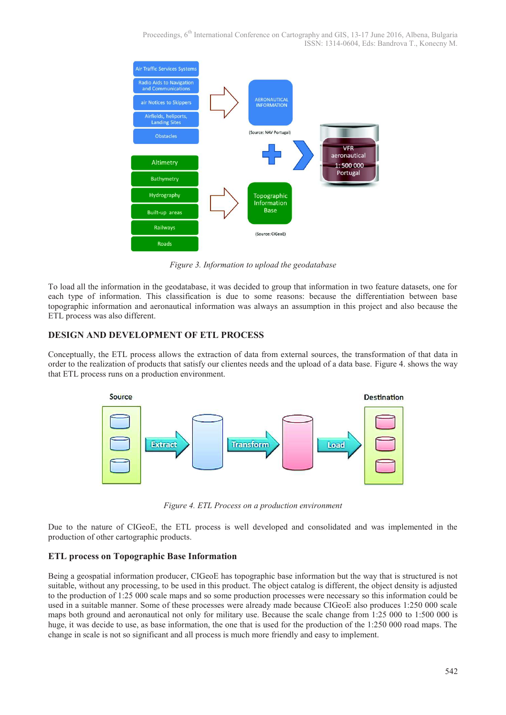

*Figure 3. Information to upload the geodatabase* 

To load all the information in the geodatabase, it was decided to group that information in two feature datasets, one for each type of information. This classification is due to some reasons: because the differentiation between base topographic information and aeronautical information was always an assumption in this project and also because the ETL process was also different.

#### **DESIGN AND DEVELOPMENT OF ETL PROCESS**

Conceptually, the ETL process allows the extraction of data from external sources, the transformation of that data in order to the realization of products that satisfy our clientes needs and the upload of a data base. Figure 4. shows the way that ETL process runs on a production environment.



*Figure 4. ETL Process on a production environment* 

Due to the nature of CIGeoE, the ETL process is well developed and consolidated and was implemented in the production of other cartographic products.

#### **ETL process on Topographic Base Information**

Being a geospatial information producer, CIGeoE has topographic base information but the way that is structured is not suitable, without any processing, to be used in this product. The object catalog is different, the object density is adjusted to the production of 1:25 000 scale maps and so some production processes were necessary so this information could be used in a suitable manner. Some of these processes were already made because CIGeoE also produces 1:250 000 scale maps both ground and aeronautical not only for military use. Because the scale change from 1:25 000 to 1:500 000 is huge, it was decide to use, as base information, the one that is used for the production of the 1:250 000 road maps. The change in scale is not so significant and all process is much more friendly and easy to implement.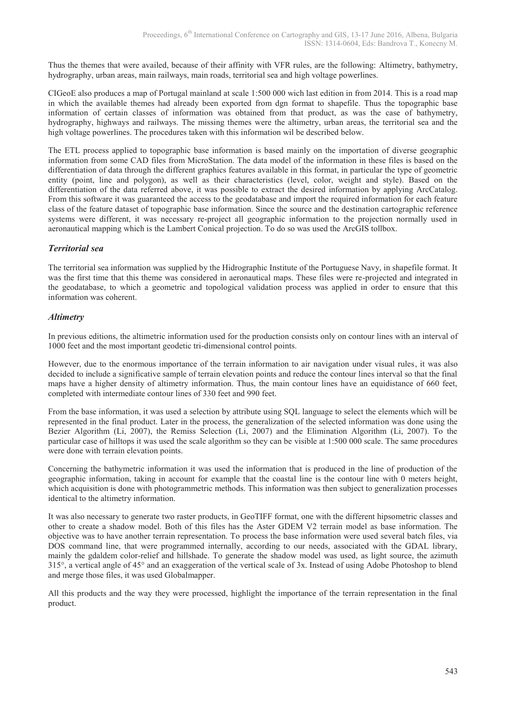Thus the themes that were availed, because of their affinity with VFR rules, are the following: Altimetry, bathymetry, hydrography, urban areas, main railways, main roads, territorial sea and high voltage powerlines.

CIGeoE also produces a map of Portugal mainland at scale 1:500 000 wich last edition in from 2014. This is a road map in which the available themes had already been exported from dgn format to shapefile. Thus the topographic base information of certain classes of information was obtained from that product, as was the case of bathymetry, hydrography, highways and railways. The missing themes were the altimetry, urban areas, the territorial sea and the high voltage powerlines. The procedures taken with this information wil be described below.

The ETL process applied to topographic base information is based mainly on the importation of diverse geographic information from some CAD files from MicroStation. The data model of the information in these files is based on the differentiation of data through the different graphics features available in this format, in particular the type of geometric entity (point, line and polygon), as well as their characteristics (level, color, weight and style). Based on the differentiation of the data referred above, it was possible to extract the desired information by applying ArcCatalog. From this software it was guaranteed the access to the geodatabase and import the required information for each feature class of the feature dataset of topographic base information. Since the source and the destination cartographic reference systems were different, it was necessary re-project all geographic information to the projection normally used in aeronautical mapping which is the Lambert Conical projection. To do so was used the ArcGIS tollbox.

#### *Territorial sea*

The territorial sea information was supplied by the Hidrographic Institute of the Portuguese Navy, in shapefile format. It was the first time that this theme was considered in aeronautical maps. These files were re-projected and integrated in the geodatabase, to which a geometric and topological validation process was applied in order to ensure that this information was coherent.

#### *Altimetry*

In previous editions, the altimetric information used for the production consists only on contour lines with an interval of 1000 feet and the most important geodetic tri-dimensional control points.

However, due to the enormous importance of the terrain information to air navigation under visual rules, it was also decided to include a significative sample of terrain elevation points and reduce the contour lines interval so that the final maps have a higher density of altimetry information. Thus, the main contour lines have an equidistance of 660 feet, completed with intermediate contour lines of 330 feet and 990 feet.

From the base information, it was used a selection by attribute using SQL language to select the elements which will be represented in the final product. Later in the process, the generalization of the selected information was done using the Bezier Algorithm (Li, 2007), the Remiss Selection (Li, 2007) and the Elimination Algorithm (Li, 2007). To the particular case of hilltops it was used the scale algorithm so they can be visible at 1:500 000 scale. The same procedures were done with terrain elevation points.

Concerning the bathymetric information it was used the information that is produced in the line of production of the geographic information, taking in account for example that the coastal line is the contour line with 0 meters height, which acquisition is done with photogrammetric methods. This information was then subject to generalization processes identical to the altimetry information.

It was also necessary to generate two raster products, in GeoTIFF format, one with the different hipsometric classes and other to create a shadow model. Both of this files has the Aster GDEM V2 terrain model as base information. The objective was to have another terrain representation. To process the base information were used several batch files, via DOS command line, that were programmed internally, according to our needs, associated with the GDAL library, mainly the gdaldem color-relief and hillshade. To generate the shadow model was used, as light source, the azimuth 315°, a vertical angle of 45° and an exaggeration of the vertical scale of 3x. Instead of using Adobe Photoshop to blend and merge those files, it was used Globalmapper.

All this products and the way they were processed, highlight the importance of the terrain representation in the final product.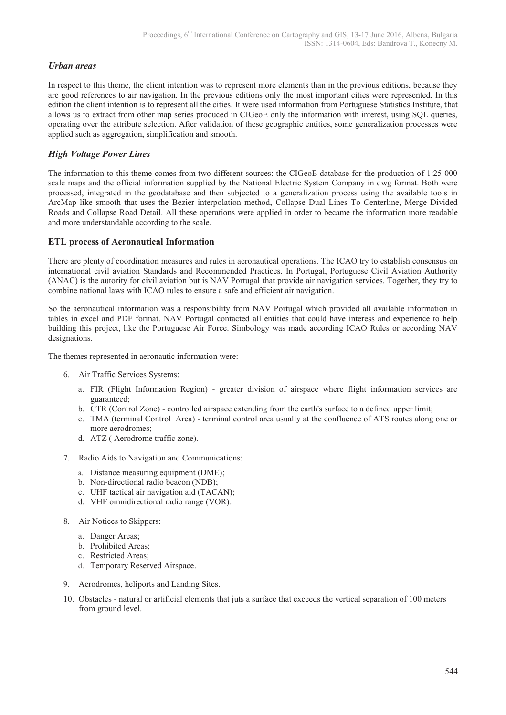#### *Urban areas*

In respect to this theme, the client intention was to represent more elements than in the previous editions, because they are good references to air navigation. In the previous editions only the most important cities were represented. In this edition the client intention is to represent all the cities. It were used information from Portuguese Statistics Institute, that allows us to extract from other map series produced in CIGeoE only the information with interest, using SQL queries, operating over the attribute selection. After validation of these geographic entities, some generalization processes were applied such as aggregation, simplification and smooth.

#### *High Voltage Power Lines*

The information to this theme comes from two different sources: the CIGeoE database for the production of 1:25 000 scale maps and the official information supplied by the National Electric System Company in dwg format. Both were processed, integrated in the geodatabase and then subjected to a generalization process using the available tools in ArcMap like smooth that uses the Bezier interpolation method, Collapse Dual Lines To Centerline, Merge Divided Roads and Collapse Road Detail. All these operations were applied in order to became the information more readable and more understandable according to the scale.

#### **ETL process of Aeronautical Information**

There are plenty of coordination measures and rules in aeronautical operations. The ICAO try to establish consensus on international civil aviation Standards and Recommended Practices. In Portugal, Portuguese Civil Aviation Authority (ANAC) is the autority for civil aviation but is NAV Portugal that provide air navigation services. Together, they try to combine national laws with ICAO rules to ensure a safe and efficient air navigation.

So the aeronautical information was a responsibility from NAV Portugal which provided all available information in tables in excel and PDF format. NAV Portugal contacted all entities that could have interess and experience to help building this project, like the Portuguese Air Force. Simbology was made according ICAO Rules or according NAV designations.

The themes represented in aeronautic information were:

- 6. Air Traffic Services Systems:
	- a. FIR (Flight Information Region) greater division of airspace where flight information services are guaranteed;
	- b. CTR (Control Zone) controlled airspace extending from the earth's surface to a defined upper limit;
	- c. TMA (terminal Control Area) terminal control area usually at the confluence of ATS routes along one or more aerodromes;
	- d. ATZ ( Aerodrome traffic zone).
- 7. Radio Aids to Navigation and Communications:
	- a. Distance measuring equipment (DME);
	- b. Non-directional radio beacon (NDB);
	- c. UHF tactical air navigation aid (TACAN);
	- d. VHF omnidirectional radio range (VOR).
- 8. Air Notices to Skippers:
	- a. Danger Areas;
	- b. Prohibited Areas;
	- c. Restricted Areas;
	- d. Temporary Reserved Airspace.
- 9. Aerodromes, heliports and Landing Sites.
- 10. Obstacles natural or artificial elements that juts a surface that exceeds the vertical separation of 100 meters from ground level.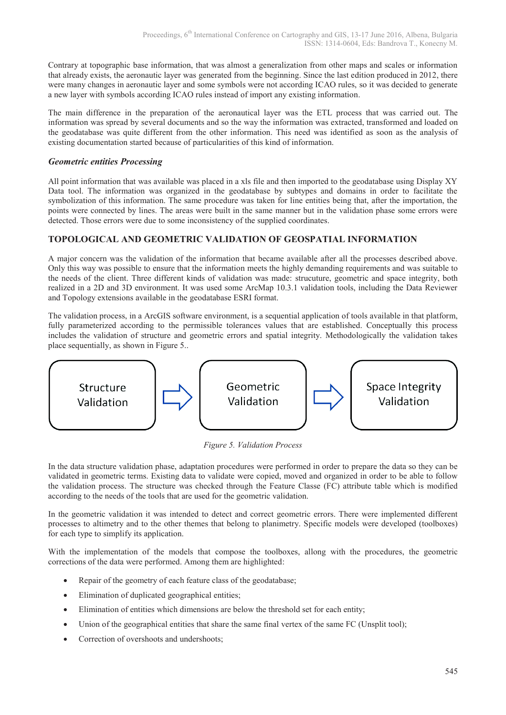Contrary at topographic base information, that was almost a generalization from other maps and scales or information that already exists, the aeronautic layer was generated from the beginning. Since the last edition produced in 2012, there were many changes in aeronautic layer and some symbols were not according ICAO rules, so it was decided to generate a new layer with symbols according ICAO rules instead of import any existing information.

The main difference in the preparation of the aeronautical layer was the ETL process that was carried out. The information was spread by several documents and so the way the information was extracted, transformed and loaded on the geodatabase was quite different from the other information. This need was identified as soon as the analysis of existing documentation started because of particularities of this kind of information.

#### *Geometric entities Processing*

All point information that was available was placed in a xls file and then imported to the geodatabase using Display XY Data tool. The information was organized in the geodatabase by subtypes and domains in order to facilitate the symbolization of this information. The same procedure was taken for line entities being that, after the importation, the points were connected by lines. The areas were built in the same manner but in the validation phase some errors were detected. Those errors were due to some inconsistency of the supplied coordinates.

#### **TOPOLOGICAL AND GEOMETRIC VALIDATION OF GEOSPATIAL INFORMATION**

A major concern was the validation of the information that became available after all the processes described above. Only this way was possible to ensure that the information meets the highly demanding requirements and was suitable to the needs of the client. Three different kinds of validation was made: strucuture, geometric and space integrity, both realized in a 2D and 3D environment. It was used some ArcMap 10.3.1 validation tools, including the Data Reviewer and Topology extensions available in the geodatabase ESRI format.

The validation process, in a ArcGIS software environment, is a sequential application of tools available in that platform, fully parameterized according to the permissible tolerances values that are established. Conceptually this process includes the validation of structure and geometric errors and spatial integrity. Methodologically the validation takes place sequentially, as shown in Figure 5..



*Figure 5. Validation Process* 

In the data structure validation phase, adaptation procedures were performed in order to prepare the data so they can be validated in geometric terms. Existing data to validate were copied, moved and organized in order to be able to follow the validation process. The structure was checked through the Feature Classe (FC) attribute table which is modified according to the needs of the tools that are used for the geometric validation.

In the geometric validation it was intended to detect and correct geometric errors. There were implemented different processes to altimetry and to the other themes that belong to planimetry. Specific models were developed (toolboxes) for each type to simplify its application.

With the implementation of the models that compose the toolboxes, allong with the procedures, the geometric corrections of the data were performed. Among them are highlighted:

- Repair of the geometry of each feature class of the geodatabase;
- Elimination of duplicated geographical entities;
- Elimination of entities which dimensions are below the threshold set for each entity;
- Union of the geographical entities that share the same final vertex of the same FC (Unsplit tool);
- Correction of overshoots and undershoots: